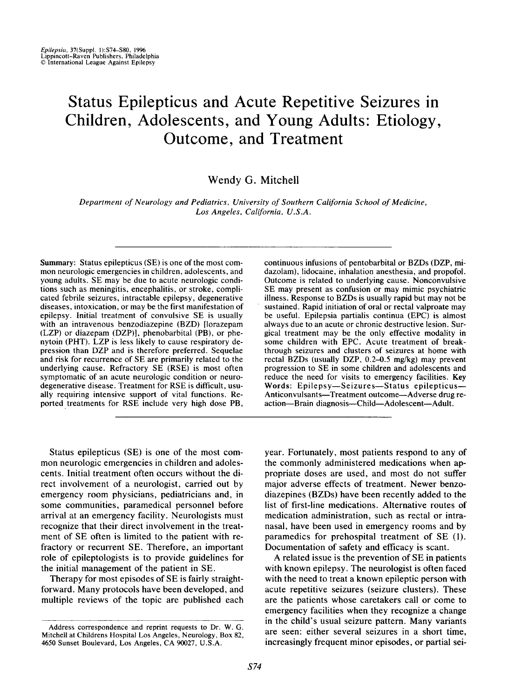# Status Epilepticus and Acute Repetitive Seizures in Children, Adolescents, and Young Adults: Etiology, Outcome, and Treatment

# **Wendy** G. Mitchell

*Department of Neurology and Pediatrics, University of Southern California School of Medicine, Los Angeles, California, U.S.A.* 

**Summary:** Status epilepticus (SE) is one of the most common neurologic emergencies in children, adolescents, and young adults. SE may be due to acute neurologic conditions such as meningitis, encephalitis, or stroke, complicated febrile seizures, intractable epilepsy, degenerative diseases, intoxication, or may be the first manifestation of epilepsy. Initial treatment of convulsive SE is usually with an intravenous benzodiazepine (BZD) [lorazepam (LZP) or diazepam (DZP)], phenobarbital (PB), or phenytoin (PHT). LZP is less likely to cause respiratory depression than DZP and is therefore preferred. Sequelae and risk for recurrence of SE are primarily related to the underlying cause. Refractory SE (RSE) is most often symptomatic of an acute neurologic condition or neurodegenerative disease. Treatment for RSE is difficult, **usu**ally requiring intensive support of vital functions. Reported treatments for RSE include very high dose PB,

Status epilepticus (SE) is one of the most common neurologic emergencies in children and adolescents. Initial treatment often occurs without the direct involvement of a neurologist, carried out by emergency room physicians, pediatricians and, in some communities, paramedical personnel before arrival at an emergency facility. Neurologists must recognize that their direct involvement in the treatment of SE often is limited to the patient with refractory or recurrent SE. Therefore, an important role of epileptologists is to provide guidelines for the initial management of the patient in SE.

Therapy for most episodes of SE is fairly straightforward. Many protocols have been developed, and multiple reviews of the topic are published each continuous infusions of pentobarbital or BZDs (DZP, midazolam), lidocaine, inhalation anesthesia, and propofol. Outcome is related to underlying cause. Nonconvulsive SE may present as confusion or may mimic psychiatric illness. Response to BZDs is usually rapid but may not be sustained. Rapid initiation of oral or rectal valproate may be useful. Epilepsia partialis continua (EPC) is almost always due to an acute or chronic destructive lesion. Surgical treatment may be the only effective modality in some children with EPC. Acute treatment of breakthrough seizures and clusters of seizures at home with rectal BZDs (usually DZP, 0.2-0.5 mg/kg) may prevent progression to SE in some children and adolescents and reduce the need for visits to emergency facilities. Key Words: Epilepsy-Seizures-Status epilepticus-**Anticonvulsants-Treatment** outcome-Adverse drug reaction-Brain diagnosis-Child-Adolescent-Adult.

year. Fortunately, most patients respond to any of the commonly administered medications when appropriate doses are used, and most do not suffer major adverse effects of treatment. Newer benzodiazepines (BZDs) have been recently added to the list of first-line medications. Alternative routes of medication administration, such as rectal or intranasal, have been used in emergency rooms and by paramedics for prehospital treatment of SE (1). Documentation of safety and efficacy is scant.

A related issue is the prevention of SE in patients with known epilepsy. The neurologist is often faced with the need to treat a known epileptic person with acute repetitive seizures (seizure clusters). These are the patients whose caretakers call or come to emergency facilities when they recognize a change in the child's usual seizure pattern. Many variants are seen: either several seizures in a short time, increasingly frequent minor episodes, or partial sei-

**Address correspondence and reprint requests to Dr. W.** *G.*  **Mitchell at Childrens Hospital Los Angeles, Neurology, Box 82, 4650 Sunset Boulevard, Los Angeles, CA** 90027, **U.S.A.**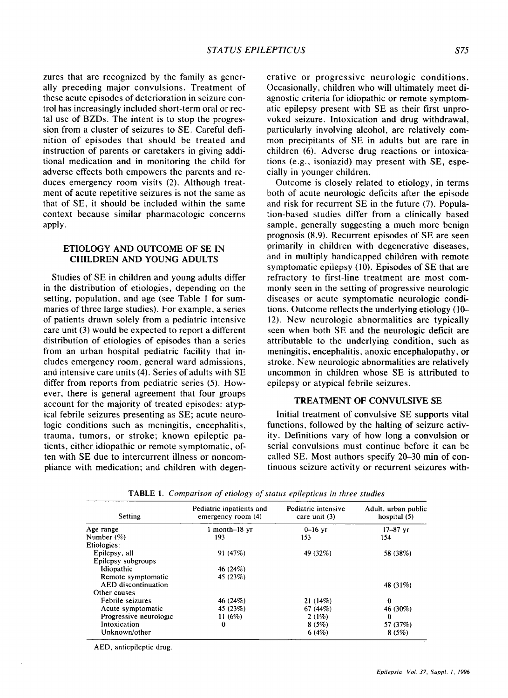zures that are recognized by the family as generally preceding major convulsions. Treatment of these acute episodes of deterioration in seizure control has increasingly included short-term oral or rectal use of BZDs. The intent is to stop the progression from a cluster of seizures to SE. Careful definition of episodes that should be treated and instruction of parents or caretakers in giving additional medication and in monitoring the child for adverse effects both empowers the parents and reduces emergency room visits (2). Although treatment of acute repetitive seizures is not the same as that of SE, it should be included within the same context because similar pharmacologic concerns apply.

### ETIOLOGY AND OUTCOME **OF SE** IN CHILDREN AND YOUNG ADULTS

Studies of SE in children and young adults differ in the distribution of etiologies, depending on the setting, population, and age (see Table 1 for summaries of three large studies). For example, a series of patients drawn solely from a pediatric intensive care unit **(3)** would be expected to report a different distribution of etiologies of episodes than a series from an urban hospital pediatric facility that includes emergency room, general ward admissions, and intensive care units **(4).** Series of adults with **SE**  differ from reports from pediatric series *(5).* However, there is general agreement that four groups account for the majority of treated episodes: atypical febrile seizures presenting as **SE;** acute neurologic conditions such as meningitis, encephalitis, trauma, tumors, or stroke; known epileptic patients, either idiopathic or remote symptomatic, often with SE due to intercurrent illness or noncompliance with medication; and children with degenerative or progressive neurologic conditions. Occasionally, children who will ultimately meet diagnostic criteria for idiopathic or remote symptomatic epilepsy present with SE as their first unprovoked seizure. Intoxication and drug withdrawal, particularly involving alcohol, are relatively common precipitants of SE in adults but are rare in children **(6).** Adverse drug reactions or intoxications (e.g., isoniazid) may present with SE, especially in younger children.

Outcome is closely related to etiology, in terms both of acute neurologic deficits after the episode and risk for recurrent SE in the future (7). Population-based studies differ from a clinically based sample, generally suggesting a much more benign prognosis **(8,9).** Recurrent episodes of SE are seen primarily in children with degenerative diseases, and in multiply handicapped children with remote symptomatic epilepsy (10). Episodes of SE that are refractory to first-line treatment are most commonly seen in the setting of progressive neurologic diseases or acute symptomatic neurologic conditions. Outcome reflects the underlying etiology **(10-**  12). New neurologic abnormalities are typically seen when both SE and the neurologic deficit are attributable to the underlying condition, such as meningitis, encephalitis, anoxic encephalopathy, or stroke. New neurologic abnormalities are relatively uncommon in children whose SE is attributed to epilepsy or atypical febrile seizures.

#### **TREATMENT OF CONVULSIVE SE**

Initial treatment of convulsive **SE** supports vital functions, followed by the halting of seizure activity. Definitions vary of how long a convulsion or serial convulsions must continue before it can be called SE. Most authors specify **20-30** min of continuous seizure activity or recurrent seizures with-

| Setting                    | Pediatric inpatients and<br>emergency room (4) | Pediatric intensive<br>care unit $(3)$ | Adult, urban public<br>hospital (5)<br>$17 - 87$ vr |  |
|----------------------------|------------------------------------------------|----------------------------------------|-----------------------------------------------------|--|
| Age range                  | $1$ month $-18$ yr                             | $0-16$ yr                              |                                                     |  |
| Number $(\%)$              | 193                                            | 153                                    | 154                                                 |  |
| Etiologies:                |                                                |                                        |                                                     |  |
| Epilepsy, all              | 91 (47%)                                       | 49 (32%)                               | 58 (38%)                                            |  |
| Epilepsy subgroups         |                                                |                                        |                                                     |  |
| Idiopathic                 | 46 (24%)                                       |                                        |                                                     |  |
| Remote symptomatic         | 45 (23%)                                       |                                        |                                                     |  |
| <b>AED</b> discontinuation |                                                |                                        | 48 (31%)                                            |  |
| Other causes               |                                                |                                        |                                                     |  |
| Febrile seizures           | 46 (24%)                                       | 21(14%)                                | $\bf{0}$                                            |  |
| Acute symptomatic          | 45 (23%)                                       | 67(44%)                                | 46 (30%)                                            |  |
| Progressive neurologic     | 11(6%)                                         | 2(1%)                                  | 0                                                   |  |
| Intoxication               | $\theta$                                       | 8(5%)                                  | 57 (37%)                                            |  |
| Unknown/other              |                                                | 6(4%)                                  | 8(5%)                                               |  |

**TABLE 1.** *Comparison of etiology of stutus epilepticus in three studies* 

**AED, antiepileptic drug.**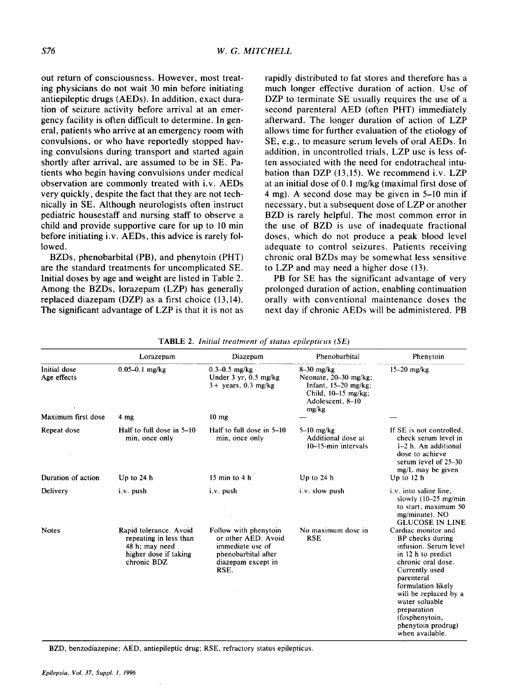out return of consciousness. However, most treating physicians do not wait 30 min before initiating antiepileptic drugs (AEDs). In addition, exact duration of seizure activity before arrival at an emergency facility is often difficult to determine. In general, patients who arrive at an emergency room with convulsions, or who have reportedly stopped having convulsions during transport and started again shortly after arrival, are assumed to be in SE. Patients who begin having convulsions under medical observation are commonly treated with i.v. AEDs very quickly, despite the fact that they are not technically in SE. Although neurologists often instruct pediatric housestaff and nursing staff to observe a child and provide supportive care for up to 10 min before initiating i.v. AEDs, this advice is rarely followed.

BZDs, phenobarbital (PB), and phenytoin (PHT) are the standard treatments for uncomplicated SE. Initial doses by age and weight are listed in Table 2. Among the BZDs, lorazepam (LZP) has generally replaced diazepam (DZP) as a first choice (13,14). The significant advantage of LZP is that it is not as rapidly distributed to fat stores and therefore has a much longer effective duration of action. Use of DZP to terminate SE usually requires the use of a second parenteral AED (often PHT) immediately afterward. The longer duration of action of LZP allows time for further evaluation of the etiology of SE, e.g., to measure serum levels of oral AEDs. In addition, in uncontrolled trials, LZP use is less often associated with the need for endotracheal intubation than DZP (13,15). We recommend i.v. LZP at an initial dose of 0.1 mg/kg (maximal first dose of 4 mg). A second dose may be given in 5-10 min if necessary, but a subsequent dose of LZP or another BZD is rarely helpful. The most common error in the use of BZD is use of inadequate fractional doses, which do not produce a peak blood level adequate to control seizures. Patients receiving chronic oral BZDs may be somewhat less sensitive to LZP and may need a higher dose (13).

PB for SE has the significant advantage of very prolonged duration of action, enabling continuation orally with conventional maintenance doses the next day if chronic AEDs will be administered. PB

|                             | Lorazepam                                                                                                  | Diazepam                                                                                                              | Phenobarbital                                                                                                           | Phenytoin                                                                                                                                                                                                                                                                               |  |
|-----------------------------|------------------------------------------------------------------------------------------------------------|-----------------------------------------------------------------------------------------------------------------------|-------------------------------------------------------------------------------------------------------------------------|-----------------------------------------------------------------------------------------------------------------------------------------------------------------------------------------------------------------------------------------------------------------------------------------|--|
| Initial dose<br>Age effects | $0.05 - 0.1$ mg/kg                                                                                         | $0.3 - 0.5$ mg/kg<br>Under $3 \text{ yr}$ , $0.5 \text{ mg/kg}$<br>$3+$ years, 0.3 mg/kg                              | $8-30$ mg/kg<br>Neonate, $20-30$ mg/kg;<br>Infant, $15-20$ mg/kg;<br>Child, $10-15$ mg/kg;<br>Adolescent, 8-10<br>mg/kg | $15-20$ mg/kg                                                                                                                                                                                                                                                                           |  |
| Maximum first dose          | 4 mg                                                                                                       | $10 \text{ mg}$                                                                                                       |                                                                                                                         |                                                                                                                                                                                                                                                                                         |  |
| Repeat dose                 | Half to full dose in 5-10<br>min, once only                                                                | Half to full dose in 5-10<br>min, once only                                                                           | $5-10$ mg/kg<br>Additional dose at<br>$10-15$ -min intervals                                                            | If SE is not controlled.<br>check serum level in<br>1-2 h. An additional<br>dose to achieve<br>serum level of 25-30<br>mg/L may be given                                                                                                                                                |  |
| Duration of action          | Up to $24h$                                                                                                | $15$ min to 4 h                                                                                                       | Up to $24h$                                                                                                             | Up to $12h$                                                                                                                                                                                                                                                                             |  |
| Delivery                    | i.v. push                                                                                                  | i.v. push                                                                                                             | i.v. slow push                                                                                                          | i.v. into saline line.<br>slowly $(10-25 \text{ mg/min})$<br>to start, maximum 50<br>mg/minute). NO<br><b>GLUCOSE IN LINE</b>                                                                                                                                                           |  |
| <b>Notes</b>                | Rapid tolerance. Avoid<br>repeating in less than<br>48 h; may need<br>higher dose if taking<br>chronic BDZ | Follow with phenytoin<br>or other AED. Avoid<br>immediate use of<br>phenobarbital after<br>diazepam except in<br>RSE. | No maximum dose in<br><b>RSE</b>                                                                                        | Cardiac monitor and<br>BP checks during<br>infusion. Serum level<br>in 12 h to predict<br>chronic oral dose.<br>Currently used<br>parenteral<br>formulation likely<br>will be replaced by a<br>water soluable<br>preparation<br>(fosphenytoin,<br>phenytoin prodrug)<br>when available. |  |

**TABLE 2.** *Initiul treatment of stutiis epilepticus (SE)* 

BZD, benzodiazepine; AED, antiepileptic drug; RSE, refractory status epilepticus.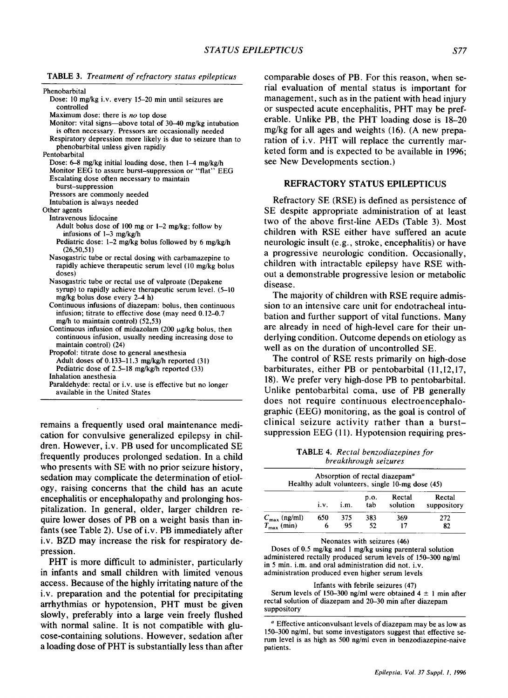**TABLE** *3. Treatment of refractory status epilepticus* 

Phenobarbital

- controlled Dose: 10 mg/kg i.v. every **15-20** min until seizures are
- Maximum dose: there is *no* top dose
- Monitor: vital signs-above total of **30-40** mg/kg intubation is often necessary. Pressors are occasionally needed

Respiratory depression more likely is due to seizure than to phenobarbital unless given rapidly

Pentobarbital

Dose: 6-8 mg/kg initial loading dose, then **14** mg/kg/h Monitor EEG to assure burst-suppression or "flat" EEG Escalating dose often necessary to maintain

burst-suppression

Pressors are commonly needed

Intubation is always needed

Other agents

Intravenous lidocaine

Adult bolus dose of **100** mg or **1-2** mg/kg; follow by infusions of **1-3** mg/kg/h

- Pediatric dose: **1-2** mg/kg bolus followed by **6** mg/kg/h **(26,50,51)**
- Nasogastric tube or rectal dosing with carbamazepine to rapidly achieve therapeutic serum level (10 mg/kg bolus doses)
- syrup) to rapidly achieve therapeutic serum level. (5-10 mg/kg bolus dose every **24 h)**  Nasogastric tube or rectal use of valproate (Depakene
- Continuous infusions of diazepam: bolus, then continuous infusion; titrate to effective dose (may need **0.12-0.7**  mg/h to maintain control) **(52,53)**
- Continuous infusion of midazolam  $(200 \ \mu g/kg)$  bolus, then continuous infusion, usually needing increasing dose to maintain control) **(24)**
- Adult doses of **0.133-11.3** mg/kg/h reported **(31)**  Pediatric dose of **2.5-18** mg/kg/h reported **(33)**  Propofol: titrate dose to general anesthesia Inhalation anesthesia

Paraldehyde: rectal or i.v. use is effective but **no** longer available in the United States

remains a frequently used oral maintenance medication for convulsive generalized epilepsy in children. However, i.v. PB used for uncomplicated SE frequently produces prolonged sedation. In a child who presents with SE with no prior seizure history, sedation may complicate the determination of etiology, raising concerns that the child has an acute encephalitis or encephalopathy and prolonging hospitalization. In general, older, larger children require lower doses of PB on a weight basis than infants (see Table 2). Use of i.v. PB immediately after i.v. BZD may increase the risk for respiratory depression.

PHT is more difficult to administer, particularly in infants and small children with limited venous access. Because of the highly irritating nature of the i.v. preparation and the potential for precipitating arrhythmias or hypotension, PHT must be given slowly, preferably into a large vein freely flushed with normal saline. It is not compatible with glucose-containing solutions. However, sedation after a loading dose of PHT is substantially less than after comparable doses of PB. For this reason, when serial evaluation of mental status is important for management, such as in the patient with head injury or suspected acute encephalitis, PHT may be preferable. Unlike PB, the PHT loading dose is **18-20**  mg/kg for all ages and weights **(16).** (A new preparation of i.v. PHT will replace the currently marketed form and is expected to be available in **1996;**  see New Developments section.)

#### **REFRACTORY STATUS EPILEPTICUS**

Refractory SE (RSE) is defined as persistence of SE despite appropriate administration of at least two of the above first-line AEDs (Table 3). Most children with RSE either have suffered an acute neurologic insult (e.g., stroke, encephalitis) or have a progressive neurologic condition. Occasionally, children with intractable epilepsy have RSE without a demonstrable progressive lesion or metabolic disease.

The majority of children with RSE require admission to an intensive care unit for endotracheal intubation and further support of vital functions. Many are already in need of high-level care for their underlying condition. Outcome depends on etiology as well as on the duration of uncontrolled SE.

The control of RSE rests primarily on high-dose barbiturates, either PB or pentobarbital  $(11, 12, 17, 17)$ **18).** We prefer very high-dose PB to pentobarbital. Unlike pentobarbital coma, use of PB generally does not require continuous electroencephalographic (EEG) monitoring, as the goal is control of clinical seizure activity rather than a burstsuppression EEG (11). Hypotension requiring pres-

**TABLE 4.** *Rectal benzodiazepines for breakthrough seizures* 

| Absorption of rectal diazepam <sup>a</sup><br>Healthy adult volunteers, single 10-mg dose (45) |          |           |             |                    |                       |  |  |
|------------------------------------------------------------------------------------------------|----------|-----------|-------------|--------------------|-----------------------|--|--|
|                                                                                                | i.v.     | i.m.      | p.o.<br>tab | Rectal<br>solution | Rectal<br>suppository |  |  |
| $C_{\text{max}}$ (ng/ml)<br>$T_{\text{max}}$ (min)                                             | 650<br>6 | 375<br>95 | 383<br>52   | 369<br>17          | 272<br>82             |  |  |

Neonates with seizures **(46)** 

Doses of 0.5 mg/kg and **1** mg/kg using parenteral solution administered rectally produced serum levels of **150-300** ng/ml in **5** min. i.m. and oral administration did not. i.v. administration produced even higher serum levels

Infants with febrile seizures **(47)**  Serum levels of 150-300 ng/ml were obtained  $4 \pm 1$  min after rectal solution of diazepam and **20-30** min after diazepam suppository

*<sup>a</sup>*Effective anticonvulsant levels of diazepam may be as low as **150-300** ng/ml, but some investigators suggest that effective serum level is as high as *500* ng/ml even in benzodiazepine-naive patients.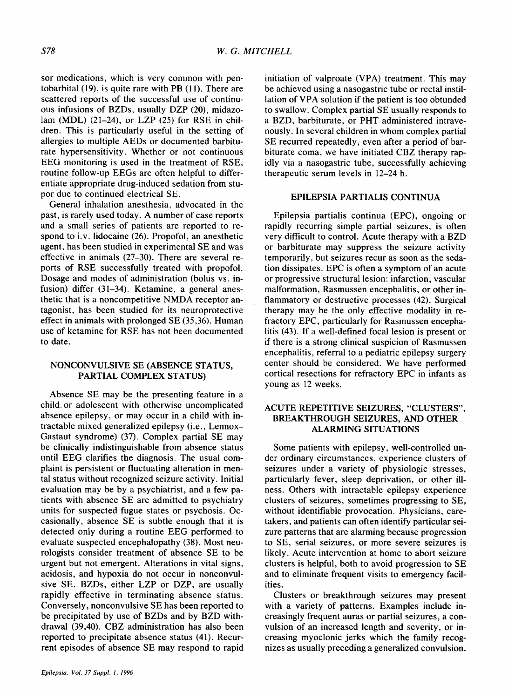sor medications, which is very common with pentobarbital **(19),** is quite rare with PB **(1 1).** There are scattered reports of the successful use of continuous infusions of BZDs, usually DZP **(20),** midazolam (MDL) **(21-24),** or LZP **(25)** for RSE in children. This is particularly useful in the setting of allergies to multiple AEDs or documented barbiturate hypersensitivity. Whether or not continuous EEG monitoring is used in the treatment of RSE, routine follow-up EEGs are often helpful to differentiate appropriate drug-induced sedation from stupor due to continued electrical SE.

General inhalation anesthesia, advocated in the past, is rarely used today. A number of case reports and a small series of patients are reported to respond to i.v. lidocaine **(26).** Propofol, an anesthetic agent, has been studied in experimental SE and was effective in animals **(27-30).** There are several reports of RSE successfully treated with propofol. Dosage and modes of administration (bolus vs. infusion) differ **(31-34).** Ketamine, a general anesthetic that is a noncompetitive NMDA receptor antagonist, has been studied for its neuroprotective effect in animals with prolonged SE **(35,36).** Human use of ketamine for RSE has not been documented to date.

#### NONCONVULSIVE SE (ABSENCE STATUS, PARTIAL COMPLEX STATUS)

Absence SE may be the presenting feature in a child. or adolescent with otherwise uncomplicated absence epilepsy, or may occur in a child with intractable mixed generalized epilepsy (i.e., Lennox-Gastaut syndrome) **(37).** Complex partial SE may be clinically indistinguishable from absence status until EEG clarifies the diagnosis. The usual complaint is persistent or fluctuating alteration in mental status without recognized seizure activity. Initial evaluation may be by a psychiatrist, and a few patients with absence SE are admitted to psychiatry units for suspected fugue states or psychosis. Occasionally, absence SE is subtle enough that it is detected only during a routine EEG performed to evaluate suspected encephalopathy **(38).** Most neurologists consider treatment of absence SE to be urgent but not emergent. Alterations in vital signs, acidosis, and hypoxia do not occur in nonconvulsive SE. BZDs, either LZP or DZP, are usually rapidly effective in terminating absence status. Conversely, nonconvulsive SE has been reported to be precipitated by use of BZDs and by BZD withdrawal **(39,40).** CBZ administration has also been reported to precipitate absence status **(41).** Recurrent episodes of absence SE may respond to rapid initiation of valproate (VPA) treatment. This may be achieved using a nasogastric tube or rectal instillation of VPA solution if the patient is too obtunded to swallow. Complex partial SE usually responds to a BZD, barbiturate, or PHT administered intravenously. In several children in whom complex partial SE recurred repeatedly, even after a period of barbiturate coma, we have initiated CBZ therapy rapidly via a nasogastric tube, successfully achieving therapeutic serum levels in **12-24** h.

#### EPILEPSIA PARTIALIS CONTINUA

Epilepsia partialis continua (EPC), ongoing or rapidly recurring simple partial seizures, is often very difficult to control. Acute therapy with a BZD or barbiturate may suppress the seizure activity temporarily, but seizures recur as soon as the sedation dissipates. EPC is often a symptom of an acute or progressive structural lesion: infarction, vascular malformation, Rasmussen encephalitis, or other inflammatory or destructive processes **(42).** Surgical therapy may be the only effective modality in refractory EPC, particularly for Rasmussen encephalitis **(43).** If a well-defined focal lesion is present or if there is a strong clinical suspicion of Rasmussen encephalitis, referral to a pediatric epilepsy surgery center should be considered. We have performed cortical resections for refractory EPC in infants as young as **12** weeks.

## ACUTE REPETITIVE SEIZURES, "CLUSTERS", BREAKTHROUGH SEIZURES, AND OTHER ALARMING SITUATIONS

Some patients with epilepsy, well-controlled under ordinary circumstances, experience clusters of seizures under a variety of physiologic stresses, particularly fever, sleep deprivation, or other illness. Others with intractable epilepsy experience clusters of seizures, sometimes progressing to SE, without identifiable provocation. Physicians, caretakers, and patients can often identify particular seizure patterns that are alarming because progression to SE, serial seizures, or more severe seizures is likely. Acute intervention at home to abort seizure clusters is helpful, both to avoid progression to SE and to eliminate frequent visits to emergency facilities.

Clusters or breakthrough seizures may present with a variety of patterns. Examples include increasingly frequent auras or partial seizures, a convulsion of an increased length and severity, or increasing myoclonic jerks which the family recognizes as usually preceding a generalized convulsion.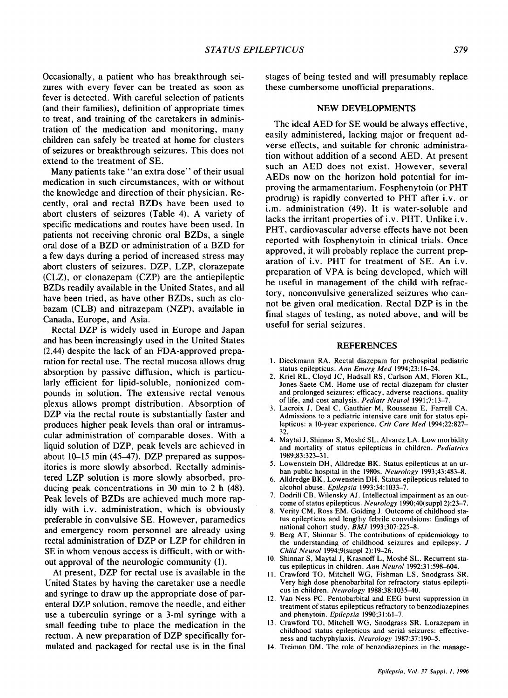Occasionally, a patient who has breakthrough seizures with every fever can be treated as soon as fever is detected. With careful selection of patients (and their families), definition of appropriate times to treat, and training of the caretakers in administration of the medication and monitoring, many children can safely be treated at home for clusters of seizures or breakthrough seizures. This does not extend to the treatment of SE.

Many patients take "an extra dose" of their usual medication in such circumstances, with or without the knowledge and direction of their physician. Recently, oral and rectal BZDs have been used to abort clusters of seizures (Table **4).** A variety of specific medications and routes have been used. In patients not receiving chronic oral BZDs, a single oral dose of a BZD or administration of a BZD for a few days during a period of increased stress may abort clusters of seizures. DZP, LZP, clorazepate (CLZ), or clonazepam (CZP) are the antiepileptic BZDs readily available in the United States, and all have been tried, as have other BZDs, such as clobazam (CLB) and nitrazepam (NZP), available in Canada, Europe, and Asia.

Rectal DZP is widely used in Europe and Japan and has been increasingly used in the United States **(2,44)** despite the lack of an FDA-approved preparation for rectal use. The rectal mucosa allows drug absorption by passive diffusion, which is particularly efficient for lipid-soluble, nonionized compounds in solution. The extensive rectal venous plexus allows prompt distribution. Absorption of DZP via the rectal route is substantially faster and produces higher peak levels than oral or intramuscular administration of comparable doses. With a liquid solution of DZP, peak levels are achieved in about  $10-15$  min  $(45-47)$ . DZP prepared as suppositories is more slowly absorbed. Rectally administered LZP solution is more slowly absorbed, producing peak concentrations in 30 min to 2 h **(48).**  Peak levels of BZDs are achieved much more rapidly with i.v. administration, which is obviously preferable in convulsive SE. However, paramedics and emergency room personnel are already using rectal administration of DZP or LZP for children in SE in whom venous access is difficult, with or without approval of the neurologic community **(I).** 

At present, DZP for rectal use is available in the United States by having the caretaker use a needle and syringe to draw up the appropriate dose of parenteral DZP solution, remove the needle, and either use a tuberculin syringe or a 3-ml syringe with a small feeding tube to place the medication in the rectum. A new preparation of DZP specifically formulated and packaged for rectal use is in the final stages of being tested and will presumably replace these cumbersome unofficial preparations.

#### NEW DEVELOPMENTS

The ideal AED for SE would be always effective, easily administered, lacking major or frequent adverse effects, and suitable for chronic administration without addition of a second AED. At present such an AED does not exist. However, several AEDs now on the horizon hold potential for improving the armamentarium. Fosphenytoin (or PHT prodrug) is rapidly converted to PHT after i.v. or i.m. administration (49). It is water-soluble and lacks the irritant properties of i.v. PHT. Unlike i.v. PHT, cardiovascular adverse effects have not been reported with fosphenytoin in clinical trials. Once approved, it will probably replace the current preparation of i.v. PHT for treatment of SE. An i.v. preparation of VPA is being developed, which will be useful in management of the child with refractory, nonconvulsive generalized seizures who cannot be given oral medication. Rectal DZP is in the final stages of testing, as noted above, and will be useful for serial seizures.

#### REFERENCES

- **1.**  Dieckmann RA. Rectal diazepam for prehospital pediatric status epilepticus. *Ann Emerg Med* **1994;23: 16-24.**
- **2.**  Kriel RL, Cloyd JC, Hadsall RS, Carlson AM, Floren KL, Jones-Saete CM. Home use of rectal diazepam for cluster and prolonged seizures: efficacy, adverse reactions, quality of life, and cost analysis. *Pediatr Neurol* **1991;7:13-7.**
- **3.**  Lacroix J, Deal C, Gauthier M, Rousseau E, Farrell CA. Admissions to a pediatric intensive care unit for status epilepticus: a 10-year experience. *Crir Care Med* **1994;22:827- 32.**
- **4.**  Maytal J, Shinnar S, Moshe SL, Alvarez LA. Low morbidity and mortality of status epilepticus in children. *Pediatrics*  **1989;83:323-31.**
- *5.*  Lowenstein DH, Alldredge BK. Status epilepticus at an ur- ban public hospital in the **1980s.** *Neurology* **1993;43:483-8.**
- **6.**  Alldredge BK, Lowenstein DH. Status epilepticus related to alcohol abuse. *Epilepsia* **1993;34: 1033-7.**
- **7.**  Dodrill CB, Wilensky AJ. Intellectual impairment as an outcome of status epilepticus. *Neurology* **1990;40(suppl2):23-7.**
- **8.**  Verity CM, Ross EM, Golding J. Outcome of childhood status epilepticus and lengthy febrile convulsions: findings of national cohort study. *BMJ* **1993;307:225-8.**
- **9.**  Berg AT, Shinnar S. The contributions of epidemiology to the understanding of childhood seizures and epilepsy. *J Child Neurol* **1994;9(suppl 2): 19-26.**
- 10. Shinnar S, Maytal J, Krasnoff L, Moshé SL. Recurrent status epilepticus in children. *Ann Neurol* **1992;31:598-604.**
- **11.**  Crawford TO, Mitchell WG, Fishman LS, Snodgrass SR. Very high dose phenobarbital for refractory status epilepticus in children. *Neurology* **1988;38: 1035-40.**
- **12.**  Van Ness PC. Pentobarbital and EEG burst suppression in treatment of status epilepticus refractory to benzodiazepines and phenytoin. *Epilepsia* **1990;31:61-7.**
- **13.**  Crawford TO, Mitchell WG, Snodgrass SR. Lorazepam in childhood status epilepticus and serial seizures: effectiveness and tachyphylaxis. *Neurology* **1987;37: 190-5.**
- **14.**  Treiman DM. The role of benzodiazepines in the manage-